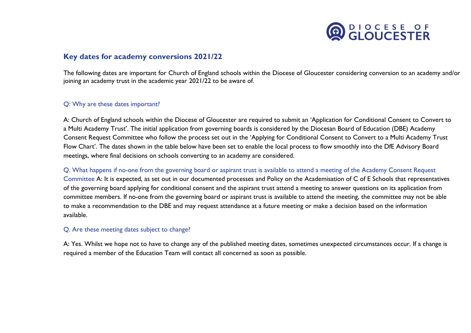

## **Key dates for academy conversions 2021/22**

The following dates are important for Church of England schools within the Diocese of Gloucester considering conversion to an academy and/or joining an academy trust in the academic year 2021/22 to be aware of.

## Q: Why are these dates important?

A: Church of England schools within the Diocese of Gloucester are required to submit an 'Application for Conditional Consent to Convert to a Multi Academy Trust'. The initial application from governing boards is considered by the Diocesan Board of Education (DBE) Academy Consent Request Committee who follow the process set out in the 'Applying for Conditional Consent to Convert to a Multi Academy Trust Flow Chart'. The dates shown in the table below have been set to enable the local process to flow smoothly into the DfE Advisory Board meetings, where final decisions on schools converting to an academy are considered.

Q. What happens if no-one from the governing board or aspirant trust is available to attend a meeting of the Academy Consent Request Committee A: It is expected, as set out in our documented processes and Policy on the Academisation of C of E Schools that representatives of the governing board applying for conditional consent and the aspirant trust attend a meeting to answer questions on its application from committee members. If no-one from the governing board or aspirant trust is available to attend the meeting, the committee may not be able to make a recommendation to the DBE and may request attendance at a future meeting or make a decision based on the information available.

## Q. Are these meeting dates subject to change?

A: Yes. Whilst we hope not to have to change any of the published meeting dates, sometimes unexpected circumstances occur. If a change is required a member of the Education Team will contact all concerned as soon as possible.